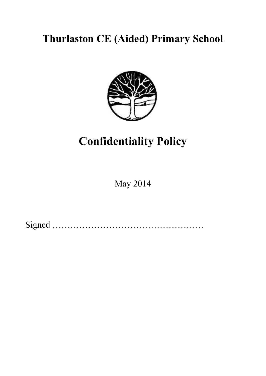## **Thurlaston CE (Aided) Primary School**



# **Confidentiality Policy**

May 2014

Signed ……………………………………………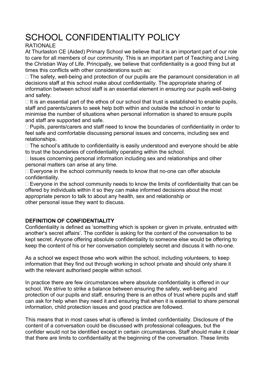### SCHOOL CONFIDENTIALITY POLICY

#### RATIONALE

At Thurlaston CE (Aided) Primary School we believe that it is an important part of our role to care for all members of our community. This is an important part of Teaching and Living the Christian Way of Life. Principally, we believe that confidentiality is a good thing but at times this conflicts with other considerations such as:

 The safety, well-being and protection of our pupils are the paramount consideration in all decisions staff at this school make about confidentiality. The appropriate sharing of information between school staff is an essential element in ensuring our pupils well-being and safety.

 It is an essential part of the ethos of our school that trust is established to enable pupils, staff and parents/carers to seek help both within and outside the school in order to minimise the number of situations when personal information is shared to ensure pupils and staff are supported and safe.

 Pupils, parents/carers and staff need to know the boundaries of confidentiality in order to feel safe and comfortable discussing personal issues and concerns, including sex and relationships.

 The school's attitude to confidentiality is easily understood and everyone should be able to trust the boundaries of confidentiality operating within the school.

 Issues concerning personal information including sex and relationships and other personal matters can arise at any time.

 Everyone in the school community needs to know that no-one can offer absolute confidentiality.

 Everyone in the school community needs to know the limits of confidentiality that can be offered by individuals within it so they can make informed decisions about the most appropriate person to talk to about any health, sex and relationship or other personal issue they want to discuss.

#### **DEFINITION OF CONFIDENTIALITY**

Confidentiality is defined as 'something which is spoken or given in private, entrusted with another's secret affairs'. The confider is asking for the content of the conversation to be kept secret. Anyone offering absolute confidentiality to someone else would be offering to keep the content of his or her conversation completely secret and discuss it with no-one.

As a school we expect those who work within the school, including volunteers, to keep information that they find out through working in school private and should only share it with the relevant authorised people within school.

In practice there are few circumstances where absolute confidentiality is offered in our school. We strive to strike a balance between ensuring the safety, well-being and protection of our pupils and staff, ensuring there is an ethos of trust where pupils and staff can ask for help when they need it and ensuring that when it is essential to share personal information, child protection issues and good practice are followed.

This means that in most cases what is offered is limited confidentiality. Disclosure of the content of a conversation could be discussed with professional colleagues, but the confider would not be identified except in certain circumstances. Staff should make it clear that there are limits to confidentiality at the beginning of the conversation. These limits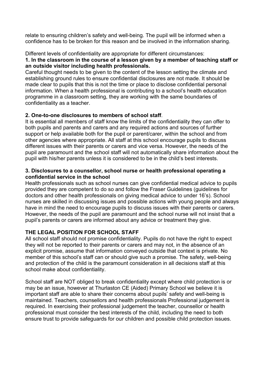relate to ensuring children's safety and well-being. The pupil will be informed when a confidence has to be broken for this reason and be involved in the information sharing.

Different levels of confidentiality are appropriate for different circumstances:

#### **1. In the classroom in the course of a lesson given by a member of teaching staff or an outside visitor including health professionals.**

Careful thought needs to be given to the content of the lesson setting the climate and establishing ground rules to ensure confidential disclosures are not made. It should be made clear to pupils that this is not the time or place to disclose confidential personal information. When a health professional is contributing to a school's health education programme in a classroom setting, they are working with the same boundaries of confidentiality as a teacher.

#### **2. One-to-one disclosures to members of school staff**.

It is essential all members of staff know the limits of the confidentiality they can offer to both pupils and parents and carers and any required actions and sources of further support or help available both for the pupil or parent/carer, within the school and from other agencies where appropriate. All staff at this school encourage pupils to discuss different issues with their parents or carers and vice versa. However, the needs of the pupil are paramount and the school staff will not automatically share information about the pupil with his/her parents unless it is considered to be in the child's best interests.

#### **3. Disclosures to a counsellor, school nurse or health professional operating a confidential service in the school**

Health professionals such as school nurses can give confidential medical advice to pupils provided they are competent to do so and follow the Fraser Guidelines (guidelines for doctors and other health professionals on giving medical advice to under 16's). School nurses are skilled in discussing issues and possible actions with young people and always have in mind the need to encourage pupils to discuss issues with their parents or carers. However, the needs of the pupil are paramount and the school nurse will not insist that a pupil's parents or carers are informed about any advice or treatment they give.

#### **THE LEGAL POSITION FOR SCHOOL STAFF**

All school staff should not promise confidentiality. Pupils do not have the right to expect they will not be reported to their parents or carers and may not, in the absence of an explicit promise, assume that information conveyed outside that context is private. No member of this school's staff can or should give such a promise. The safety, well-being and protection of the child is the paramount consideration in all decisions staff at this school make about confidentiality.

School staff are NOT obliged to break confidentiality except where child protection is or may be an issue, however at Thurlaston CE (Aided) Primary School we believe it is important staff are able to share their concerns about pupils' safety and well-being is maintained. Teachers, counsellors and health professionals Professional judgement is required. In exercising their professional judgement the teacher, counsellor or health professional must consider the best interests of the child, including the need to both ensure trust to provide safeguards for our children and possible child protection issues.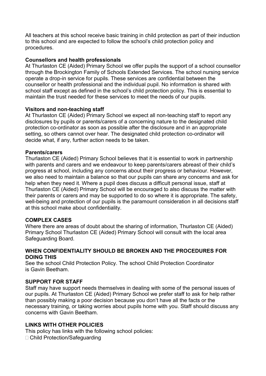All teachers at this school receive basic training in child protection as part of their induction to this school and are expected to follow the school's child protection policy and procedures.

#### **Counsellors and health professionals**

At Thurlaston CE (Aided) Primary School we offer pupils the support of a school counsellor through the Brockington Family of Schools Extended Services. The school nursing service operate a drop-in service for pupils. These services are confidential between the counsellor or health professional and the individual pupil. No information is shared with school staff except as defined in the school's child protection policy. This is essential to maintain the trust needed for these services to meet the needs of our pupils.

#### **Visitors and non-teaching staff**

At Thurlaston CE (Aided) Primary School we expect all non-teaching staff to report any disclosures by pupils or parents/carers of a concerning nature to the designated child protection co-ordinator as soon as possible after the disclosure and in an appropriate setting, so others cannot over hear. The designated child protection co-ordinator will decide what, if any, further action needs to be taken.

#### **Parents/carers**

Thurlaston CE (Aided) Primary School believes that it is essential to work in partnership with parents and carers and we endeavour to keep parents/carers abreast of their child's progress at school, including any concerns about their progress or behaviour. However, we also need to maintain a balance so that our pupils can share any concerns and ask for help when they need it. Where a pupil does discuss a difficult personal issue, staff at Thurlaston CE (Aided) Primary School will be encouraged to also discuss the matter with their parents or carers and may be supported to do so where it is appropriate. The safety, well-being and protection of our pupils is the paramount consideration in all decisions staff at this school make about confidentiality.

#### **COMPLEX CASES**

Where there are areas of doubt about the sharing of information, Thurlaston CE (Aided) Primary School Thurlaston CE (Aided) Primary School will consult with the local area Safeguarding Board.

#### **WHEN CONFIDENTIALITY SHOULD BE BROKEN AND THE PROCEDURES FOR DOING THIS**

See the school Child Protection Policy. The school Child Protection Coordinator is Gavin Beetham.

#### **SUPPORT FOR STAFF**

Staff may have support needs themselves in dealing with some of the personal issues of our pupils. At Thurlaston CE (Aided) Primary School we prefer staff to ask for help rather than possibly making a poor decision because you don't have all the facts or the necessary training, or taking worries about pupils home with you. Staff should discuss any concerns with Gavin Beetham.

#### **LINKS WITH OTHER POLICIES**

This policy has links with the following school policies:

Child Protection/Safeguarding